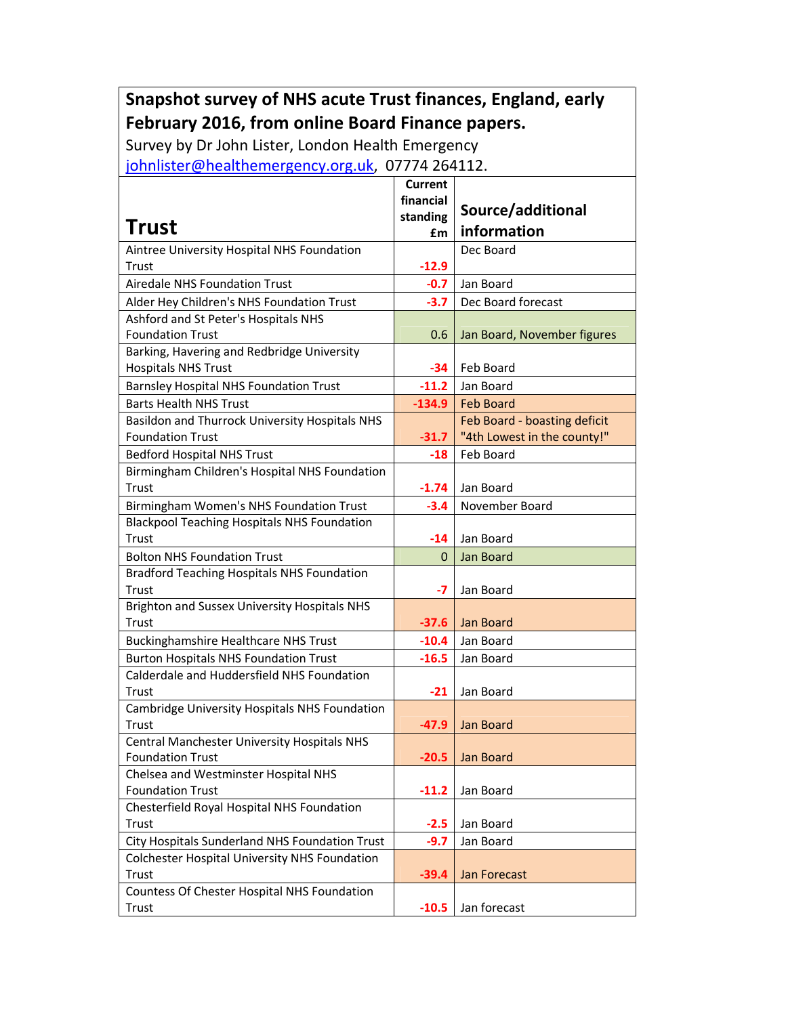## Snapshot survey of NHS acute Trust finances, England, early February 2016, from online Board Finance papers.

Survey by Dr John Lister, London Health Emergency

johnlister@healthemergency.org.uk, 07774 264112.

| <b>Trust</b>                                                                               | Current<br>financial<br>standing<br>£m | Source/additional<br>information |
|--------------------------------------------------------------------------------------------|----------------------------------------|----------------------------------|
| Aintree University Hospital NHS Foundation                                                 |                                        | Dec Board                        |
| Trust                                                                                      | $-12.9$                                |                                  |
| <b>Airedale NHS Foundation Trust</b>                                                       | $-0.7$                                 | Jan Board                        |
| Alder Hey Children's NHS Foundation Trust                                                  | $-3.7$                                 | Dec Board forecast               |
| Ashford and St Peter's Hospitals NHS                                                       |                                        |                                  |
| <b>Foundation Trust</b>                                                                    | 0.6                                    | Jan Board, November figures      |
| Barking, Havering and Redbridge University                                                 |                                        |                                  |
| <b>Hospitals NHS Trust</b>                                                                 | -34                                    | Feb Board                        |
| <b>Barnsley Hospital NHS Foundation Trust</b>                                              | $-11.2$                                | Jan Board                        |
| <b>Barts Health NHS Trust</b>                                                              | $-134.9$                               | <b>Feb Board</b>                 |
| Basildon and Thurrock University Hospitals NHS                                             |                                        | Feb Board - boasting deficit     |
| <b>Foundation Trust</b>                                                                    | $-31.7$                                | "4th Lowest in the county!"      |
| <b>Bedford Hospital NHS Trust</b>                                                          | $-18$                                  | Feb Board                        |
| Birmingham Children's Hospital NHS Foundation                                              |                                        |                                  |
| Trust                                                                                      | $-1.74$                                | Jan Board                        |
| Birmingham Women's NHS Foundation Trust                                                    | $-3.4$                                 | November Board                   |
| <b>Blackpool Teaching Hospitals NHS Foundation</b>                                         |                                        |                                  |
| Trust                                                                                      | -14                                    | Jan Board                        |
| <b>Bolton NHS Foundation Trust</b>                                                         | $\Omega$                               | Jan Board                        |
| <b>Bradford Teaching Hospitals NHS Foundation</b>                                          |                                        |                                  |
| Trust                                                                                      | -7                                     | Jan Board                        |
| Brighton and Sussex University Hospitals NHS<br>Trust                                      |                                        | Jan Board                        |
|                                                                                            | $-37.6$                                | Jan Board                        |
| <b>Buckinghamshire Healthcare NHS Trust</b>                                                | $-10.4$<br>$-16.5$                     |                                  |
| <b>Burton Hospitals NHS Foundation Trust</b><br>Calderdale and Huddersfield NHS Foundation |                                        | Jan Board                        |
| Trust                                                                                      | $-21$                                  | Jan Board                        |
| Cambridge University Hospitals NHS Foundation                                              |                                        |                                  |
| Trust                                                                                      | $-47.9$                                | Jan Board                        |
| Central Manchester University Hospitals NHS                                                |                                        |                                  |
| <b>Foundation Trust</b>                                                                    | $-20.5$                                | Jan Board                        |
| Chelsea and Westminster Hospital NHS                                                       |                                        |                                  |
| <b>Foundation Trust</b>                                                                    | $-11.2$                                | Jan Board                        |
| Chesterfield Royal Hospital NHS Foundation                                                 |                                        |                                  |
| Trust                                                                                      | $-2.5$                                 | Jan Board                        |
| City Hospitals Sunderland NHS Foundation Trust                                             | $-9.7$                                 | Jan Board                        |
| <b>Colchester Hospital University NHS Foundation</b>                                       |                                        |                                  |
| Trust                                                                                      | $-39.4$                                | <b>Jan Forecast</b>              |
| Countess Of Chester Hospital NHS Foundation                                                |                                        |                                  |
| Trust                                                                                      | $-10.5$                                | Jan forecast                     |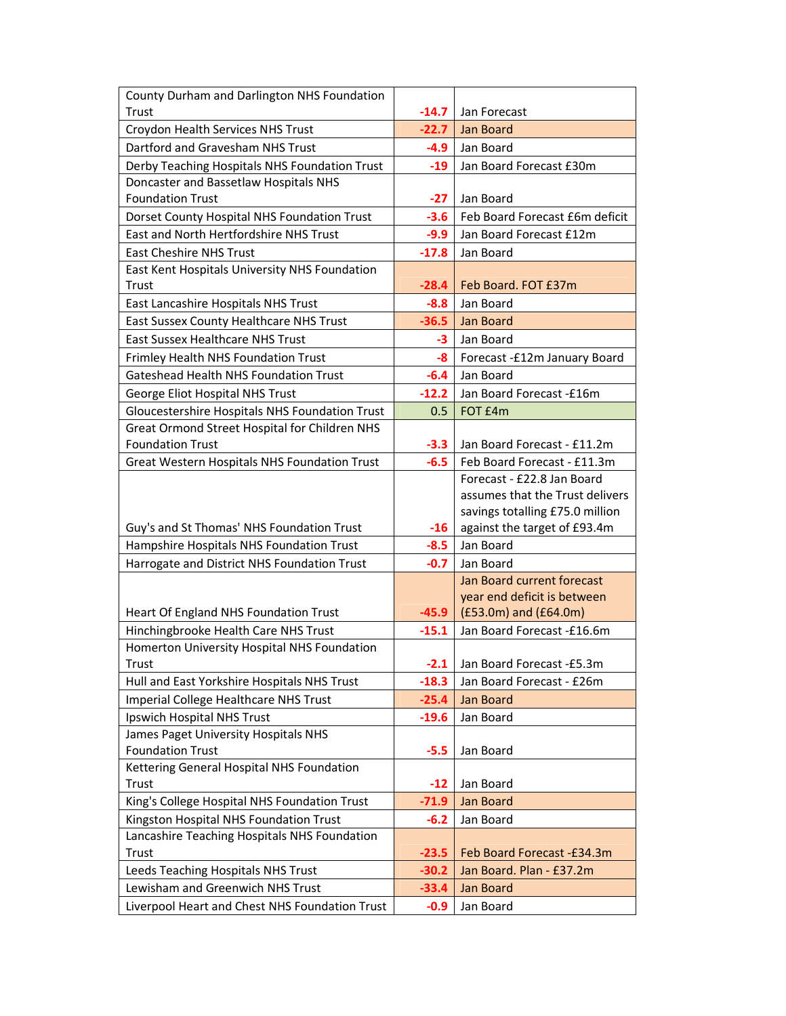| Trust<br>$-14.7$<br>Jan Forecast<br>$-22.7$<br><b>Jan Board</b><br>Croydon Health Services NHS Trust<br>Dartford and Gravesham NHS Trust<br>Jan Board<br>-4.9<br>Derby Teaching Hospitals NHS Foundation Trust<br>Jan Board Forecast £30m<br>$-19$<br>Doncaster and Bassetlaw Hospitals NHS<br><b>Foundation Trust</b><br>$-27$<br>Jan Board<br>Feb Board Forecast £6m deficit<br>Dorset County Hospital NHS Foundation Trust<br>$-3.6$<br>East and North Hertfordshire NHS Trust<br>$-9.9$<br>Jan Board Forecast £12m<br><b>East Cheshire NHS Trust</b><br>$-17.8$<br>Jan Board<br>East Kent Hospitals University NHS Foundation<br>Feb Board. FOT £37m<br>$-28.4$<br><b>Trust</b><br>East Lancashire Hospitals NHS Trust<br>Jan Board<br>$-8.8$<br>East Sussex County Healthcare NHS Trust<br><b>Jan Board</b><br>$-36.5$<br><b>East Sussex Healthcare NHS Trust</b><br>-3<br>Jan Board<br>Frimley Health NHS Foundation Trust<br>-8<br>Forecast -£12m January Board<br>Gateshead Health NHS Foundation Trust<br>Jan Board<br>$-6.4$<br>George Eliot Hospital NHS Trust<br>$-12.2$<br>Jan Board Forecast -£16m<br>Gloucestershire Hospitals NHS Foundation Trust<br>FOT £4m<br>0.5<br>Great Ormond Street Hospital for Children NHS<br><b>Foundation Trust</b><br>Jan Board Forecast - £11.2m<br>$-3.3$<br>Great Western Hospitals NHS Foundation Trust<br>$-6.5$<br>Feb Board Forecast - £11.3m<br>Forecast - £22.8 Jan Board<br>assumes that the Trust delivers<br>savings totalling £75.0 million<br>Guy's and St Thomas' NHS Foundation Trust<br>against the target of £93.4m<br>$-16$<br>Hampshire Hospitals NHS Foundation Trust<br>$-8.5$<br>Jan Board<br>Harrogate and District NHS Foundation Trust<br>$-0.7$<br>Jan Board<br>Jan Board current forecast<br>year end deficit is between<br>(£53.0m) and (£64.0m)<br>Heart Of England NHS Foundation Trust<br>$-45.9$<br>Hinchingbrooke Health Care NHS Trust<br>Jan Board Forecast -£16.6m<br>$-15.1$<br>Homerton University Hospital NHS Foundation<br>Jan Board Forecast -£5.3m<br>Trust<br>$-2.1$<br>Hull and East Yorkshire Hospitals NHS Trust<br>$-18.3$<br>Jan Board Forecast - £26m<br>Imperial College Healthcare NHS Trust<br>$-25.4$<br>Jan Board<br>Ipswich Hospital NHS Trust<br>$-19.6$<br>Jan Board<br>James Paget University Hospitals NHS<br><b>Foundation Trust</b><br>$-5.5$<br>Jan Board<br>Kettering General Hospital NHS Foundation<br>Trust<br>Jan Board<br>$-12$<br>King's College Hospital NHS Foundation Trust<br>$-71.9$<br>Jan Board<br>Kingston Hospital NHS Foundation Trust<br>$-6.2$<br>Jan Board<br>Lancashire Teaching Hospitals NHS Foundation<br>Trust<br>Feb Board Forecast -£34.3m<br>$-23.5$<br>Leeds Teaching Hospitals NHS Trust<br>$-30.2$<br>Jan Board. Plan - £37.2m<br>Lewisham and Greenwich NHS Trust<br>Jan Board<br>$-33.4$ | County Durham and Darlington NHS Foundation    |        |           |
|-----------------------------------------------------------------------------------------------------------------------------------------------------------------------------------------------------------------------------------------------------------------------------------------------------------------------------------------------------------------------------------------------------------------------------------------------------------------------------------------------------------------------------------------------------------------------------------------------------------------------------------------------------------------------------------------------------------------------------------------------------------------------------------------------------------------------------------------------------------------------------------------------------------------------------------------------------------------------------------------------------------------------------------------------------------------------------------------------------------------------------------------------------------------------------------------------------------------------------------------------------------------------------------------------------------------------------------------------------------------------------------------------------------------------------------------------------------------------------------------------------------------------------------------------------------------------------------------------------------------------------------------------------------------------------------------------------------------------------------------------------------------------------------------------------------------------------------------------------------------------------------------------------------------------------------------------------------------------------------------------------------------------------------------------------------------------------------------------------------------------------------------------------------------------------------------------------------------------------------------------------------------------------------------------------------------------------------------------------------------------------------------------------------------------------------------------------------------------------------------------------------------------------------------------------------------------------------------------------------------------------------------------------------------------------------------------------------------------------------------------------------------------------------------------------------------------------------------|------------------------------------------------|--------|-----------|
|                                                                                                                                                                                                                                                                                                                                                                                                                                                                                                                                                                                                                                                                                                                                                                                                                                                                                                                                                                                                                                                                                                                                                                                                                                                                                                                                                                                                                                                                                                                                                                                                                                                                                                                                                                                                                                                                                                                                                                                                                                                                                                                                                                                                                                                                                                                                                                                                                                                                                                                                                                                                                                                                                                                                                                                                                                         |                                                |        |           |
|                                                                                                                                                                                                                                                                                                                                                                                                                                                                                                                                                                                                                                                                                                                                                                                                                                                                                                                                                                                                                                                                                                                                                                                                                                                                                                                                                                                                                                                                                                                                                                                                                                                                                                                                                                                                                                                                                                                                                                                                                                                                                                                                                                                                                                                                                                                                                                                                                                                                                                                                                                                                                                                                                                                                                                                                                                         |                                                |        |           |
|                                                                                                                                                                                                                                                                                                                                                                                                                                                                                                                                                                                                                                                                                                                                                                                                                                                                                                                                                                                                                                                                                                                                                                                                                                                                                                                                                                                                                                                                                                                                                                                                                                                                                                                                                                                                                                                                                                                                                                                                                                                                                                                                                                                                                                                                                                                                                                                                                                                                                                                                                                                                                                                                                                                                                                                                                                         |                                                |        |           |
|                                                                                                                                                                                                                                                                                                                                                                                                                                                                                                                                                                                                                                                                                                                                                                                                                                                                                                                                                                                                                                                                                                                                                                                                                                                                                                                                                                                                                                                                                                                                                                                                                                                                                                                                                                                                                                                                                                                                                                                                                                                                                                                                                                                                                                                                                                                                                                                                                                                                                                                                                                                                                                                                                                                                                                                                                                         |                                                |        |           |
|                                                                                                                                                                                                                                                                                                                                                                                                                                                                                                                                                                                                                                                                                                                                                                                                                                                                                                                                                                                                                                                                                                                                                                                                                                                                                                                                                                                                                                                                                                                                                                                                                                                                                                                                                                                                                                                                                                                                                                                                                                                                                                                                                                                                                                                                                                                                                                                                                                                                                                                                                                                                                                                                                                                                                                                                                                         |                                                |        |           |
|                                                                                                                                                                                                                                                                                                                                                                                                                                                                                                                                                                                                                                                                                                                                                                                                                                                                                                                                                                                                                                                                                                                                                                                                                                                                                                                                                                                                                                                                                                                                                                                                                                                                                                                                                                                                                                                                                                                                                                                                                                                                                                                                                                                                                                                                                                                                                                                                                                                                                                                                                                                                                                                                                                                                                                                                                                         |                                                |        |           |
|                                                                                                                                                                                                                                                                                                                                                                                                                                                                                                                                                                                                                                                                                                                                                                                                                                                                                                                                                                                                                                                                                                                                                                                                                                                                                                                                                                                                                                                                                                                                                                                                                                                                                                                                                                                                                                                                                                                                                                                                                                                                                                                                                                                                                                                                                                                                                                                                                                                                                                                                                                                                                                                                                                                                                                                                                                         |                                                |        |           |
|                                                                                                                                                                                                                                                                                                                                                                                                                                                                                                                                                                                                                                                                                                                                                                                                                                                                                                                                                                                                                                                                                                                                                                                                                                                                                                                                                                                                                                                                                                                                                                                                                                                                                                                                                                                                                                                                                                                                                                                                                                                                                                                                                                                                                                                                                                                                                                                                                                                                                                                                                                                                                                                                                                                                                                                                                                         |                                                |        |           |
|                                                                                                                                                                                                                                                                                                                                                                                                                                                                                                                                                                                                                                                                                                                                                                                                                                                                                                                                                                                                                                                                                                                                                                                                                                                                                                                                                                                                                                                                                                                                                                                                                                                                                                                                                                                                                                                                                                                                                                                                                                                                                                                                                                                                                                                                                                                                                                                                                                                                                                                                                                                                                                                                                                                                                                                                                                         |                                                |        |           |
|                                                                                                                                                                                                                                                                                                                                                                                                                                                                                                                                                                                                                                                                                                                                                                                                                                                                                                                                                                                                                                                                                                                                                                                                                                                                                                                                                                                                                                                                                                                                                                                                                                                                                                                                                                                                                                                                                                                                                                                                                                                                                                                                                                                                                                                                                                                                                                                                                                                                                                                                                                                                                                                                                                                                                                                                                                         |                                                |        |           |
|                                                                                                                                                                                                                                                                                                                                                                                                                                                                                                                                                                                                                                                                                                                                                                                                                                                                                                                                                                                                                                                                                                                                                                                                                                                                                                                                                                                                                                                                                                                                                                                                                                                                                                                                                                                                                                                                                                                                                                                                                                                                                                                                                                                                                                                                                                                                                                                                                                                                                                                                                                                                                                                                                                                                                                                                                                         |                                                |        |           |
|                                                                                                                                                                                                                                                                                                                                                                                                                                                                                                                                                                                                                                                                                                                                                                                                                                                                                                                                                                                                                                                                                                                                                                                                                                                                                                                                                                                                                                                                                                                                                                                                                                                                                                                                                                                                                                                                                                                                                                                                                                                                                                                                                                                                                                                                                                                                                                                                                                                                                                                                                                                                                                                                                                                                                                                                                                         |                                                |        |           |
|                                                                                                                                                                                                                                                                                                                                                                                                                                                                                                                                                                                                                                                                                                                                                                                                                                                                                                                                                                                                                                                                                                                                                                                                                                                                                                                                                                                                                                                                                                                                                                                                                                                                                                                                                                                                                                                                                                                                                                                                                                                                                                                                                                                                                                                                                                                                                                                                                                                                                                                                                                                                                                                                                                                                                                                                                                         |                                                |        |           |
|                                                                                                                                                                                                                                                                                                                                                                                                                                                                                                                                                                                                                                                                                                                                                                                                                                                                                                                                                                                                                                                                                                                                                                                                                                                                                                                                                                                                                                                                                                                                                                                                                                                                                                                                                                                                                                                                                                                                                                                                                                                                                                                                                                                                                                                                                                                                                                                                                                                                                                                                                                                                                                                                                                                                                                                                                                         |                                                |        |           |
|                                                                                                                                                                                                                                                                                                                                                                                                                                                                                                                                                                                                                                                                                                                                                                                                                                                                                                                                                                                                                                                                                                                                                                                                                                                                                                                                                                                                                                                                                                                                                                                                                                                                                                                                                                                                                                                                                                                                                                                                                                                                                                                                                                                                                                                                                                                                                                                                                                                                                                                                                                                                                                                                                                                                                                                                                                         |                                                |        |           |
|                                                                                                                                                                                                                                                                                                                                                                                                                                                                                                                                                                                                                                                                                                                                                                                                                                                                                                                                                                                                                                                                                                                                                                                                                                                                                                                                                                                                                                                                                                                                                                                                                                                                                                                                                                                                                                                                                                                                                                                                                                                                                                                                                                                                                                                                                                                                                                                                                                                                                                                                                                                                                                                                                                                                                                                                                                         |                                                |        |           |
|                                                                                                                                                                                                                                                                                                                                                                                                                                                                                                                                                                                                                                                                                                                                                                                                                                                                                                                                                                                                                                                                                                                                                                                                                                                                                                                                                                                                                                                                                                                                                                                                                                                                                                                                                                                                                                                                                                                                                                                                                                                                                                                                                                                                                                                                                                                                                                                                                                                                                                                                                                                                                                                                                                                                                                                                                                         |                                                |        |           |
|                                                                                                                                                                                                                                                                                                                                                                                                                                                                                                                                                                                                                                                                                                                                                                                                                                                                                                                                                                                                                                                                                                                                                                                                                                                                                                                                                                                                                                                                                                                                                                                                                                                                                                                                                                                                                                                                                                                                                                                                                                                                                                                                                                                                                                                                                                                                                                                                                                                                                                                                                                                                                                                                                                                                                                                                                                         |                                                |        |           |
|                                                                                                                                                                                                                                                                                                                                                                                                                                                                                                                                                                                                                                                                                                                                                                                                                                                                                                                                                                                                                                                                                                                                                                                                                                                                                                                                                                                                                                                                                                                                                                                                                                                                                                                                                                                                                                                                                                                                                                                                                                                                                                                                                                                                                                                                                                                                                                                                                                                                                                                                                                                                                                                                                                                                                                                                                                         |                                                |        |           |
|                                                                                                                                                                                                                                                                                                                                                                                                                                                                                                                                                                                                                                                                                                                                                                                                                                                                                                                                                                                                                                                                                                                                                                                                                                                                                                                                                                                                                                                                                                                                                                                                                                                                                                                                                                                                                                                                                                                                                                                                                                                                                                                                                                                                                                                                                                                                                                                                                                                                                                                                                                                                                                                                                                                                                                                                                                         |                                                |        |           |
|                                                                                                                                                                                                                                                                                                                                                                                                                                                                                                                                                                                                                                                                                                                                                                                                                                                                                                                                                                                                                                                                                                                                                                                                                                                                                                                                                                                                                                                                                                                                                                                                                                                                                                                                                                                                                                                                                                                                                                                                                                                                                                                                                                                                                                                                                                                                                                                                                                                                                                                                                                                                                                                                                                                                                                                                                                         |                                                |        |           |
|                                                                                                                                                                                                                                                                                                                                                                                                                                                                                                                                                                                                                                                                                                                                                                                                                                                                                                                                                                                                                                                                                                                                                                                                                                                                                                                                                                                                                                                                                                                                                                                                                                                                                                                                                                                                                                                                                                                                                                                                                                                                                                                                                                                                                                                                                                                                                                                                                                                                                                                                                                                                                                                                                                                                                                                                                                         |                                                |        |           |
|                                                                                                                                                                                                                                                                                                                                                                                                                                                                                                                                                                                                                                                                                                                                                                                                                                                                                                                                                                                                                                                                                                                                                                                                                                                                                                                                                                                                                                                                                                                                                                                                                                                                                                                                                                                                                                                                                                                                                                                                                                                                                                                                                                                                                                                                                                                                                                                                                                                                                                                                                                                                                                                                                                                                                                                                                                         |                                                |        |           |
|                                                                                                                                                                                                                                                                                                                                                                                                                                                                                                                                                                                                                                                                                                                                                                                                                                                                                                                                                                                                                                                                                                                                                                                                                                                                                                                                                                                                                                                                                                                                                                                                                                                                                                                                                                                                                                                                                                                                                                                                                                                                                                                                                                                                                                                                                                                                                                                                                                                                                                                                                                                                                                                                                                                                                                                                                                         |                                                |        |           |
|                                                                                                                                                                                                                                                                                                                                                                                                                                                                                                                                                                                                                                                                                                                                                                                                                                                                                                                                                                                                                                                                                                                                                                                                                                                                                                                                                                                                                                                                                                                                                                                                                                                                                                                                                                                                                                                                                                                                                                                                                                                                                                                                                                                                                                                                                                                                                                                                                                                                                                                                                                                                                                                                                                                                                                                                                                         |                                                |        |           |
|                                                                                                                                                                                                                                                                                                                                                                                                                                                                                                                                                                                                                                                                                                                                                                                                                                                                                                                                                                                                                                                                                                                                                                                                                                                                                                                                                                                                                                                                                                                                                                                                                                                                                                                                                                                                                                                                                                                                                                                                                                                                                                                                                                                                                                                                                                                                                                                                                                                                                                                                                                                                                                                                                                                                                                                                                                         |                                                |        |           |
|                                                                                                                                                                                                                                                                                                                                                                                                                                                                                                                                                                                                                                                                                                                                                                                                                                                                                                                                                                                                                                                                                                                                                                                                                                                                                                                                                                                                                                                                                                                                                                                                                                                                                                                                                                                                                                                                                                                                                                                                                                                                                                                                                                                                                                                                                                                                                                                                                                                                                                                                                                                                                                                                                                                                                                                                                                         |                                                |        |           |
|                                                                                                                                                                                                                                                                                                                                                                                                                                                                                                                                                                                                                                                                                                                                                                                                                                                                                                                                                                                                                                                                                                                                                                                                                                                                                                                                                                                                                                                                                                                                                                                                                                                                                                                                                                                                                                                                                                                                                                                                                                                                                                                                                                                                                                                                                                                                                                                                                                                                                                                                                                                                                                                                                                                                                                                                                                         |                                                |        |           |
|                                                                                                                                                                                                                                                                                                                                                                                                                                                                                                                                                                                                                                                                                                                                                                                                                                                                                                                                                                                                                                                                                                                                                                                                                                                                                                                                                                                                                                                                                                                                                                                                                                                                                                                                                                                                                                                                                                                                                                                                                                                                                                                                                                                                                                                                                                                                                                                                                                                                                                                                                                                                                                                                                                                                                                                                                                         |                                                |        |           |
|                                                                                                                                                                                                                                                                                                                                                                                                                                                                                                                                                                                                                                                                                                                                                                                                                                                                                                                                                                                                                                                                                                                                                                                                                                                                                                                                                                                                                                                                                                                                                                                                                                                                                                                                                                                                                                                                                                                                                                                                                                                                                                                                                                                                                                                                                                                                                                                                                                                                                                                                                                                                                                                                                                                                                                                                                                         |                                                |        |           |
|                                                                                                                                                                                                                                                                                                                                                                                                                                                                                                                                                                                                                                                                                                                                                                                                                                                                                                                                                                                                                                                                                                                                                                                                                                                                                                                                                                                                                                                                                                                                                                                                                                                                                                                                                                                                                                                                                                                                                                                                                                                                                                                                                                                                                                                                                                                                                                                                                                                                                                                                                                                                                                                                                                                                                                                                                                         |                                                |        |           |
|                                                                                                                                                                                                                                                                                                                                                                                                                                                                                                                                                                                                                                                                                                                                                                                                                                                                                                                                                                                                                                                                                                                                                                                                                                                                                                                                                                                                                                                                                                                                                                                                                                                                                                                                                                                                                                                                                                                                                                                                                                                                                                                                                                                                                                                                                                                                                                                                                                                                                                                                                                                                                                                                                                                                                                                                                                         |                                                |        |           |
|                                                                                                                                                                                                                                                                                                                                                                                                                                                                                                                                                                                                                                                                                                                                                                                                                                                                                                                                                                                                                                                                                                                                                                                                                                                                                                                                                                                                                                                                                                                                                                                                                                                                                                                                                                                                                                                                                                                                                                                                                                                                                                                                                                                                                                                                                                                                                                                                                                                                                                                                                                                                                                                                                                                                                                                                                                         |                                                |        |           |
|                                                                                                                                                                                                                                                                                                                                                                                                                                                                                                                                                                                                                                                                                                                                                                                                                                                                                                                                                                                                                                                                                                                                                                                                                                                                                                                                                                                                                                                                                                                                                                                                                                                                                                                                                                                                                                                                                                                                                                                                                                                                                                                                                                                                                                                                                                                                                                                                                                                                                                                                                                                                                                                                                                                                                                                                                                         |                                                |        |           |
|                                                                                                                                                                                                                                                                                                                                                                                                                                                                                                                                                                                                                                                                                                                                                                                                                                                                                                                                                                                                                                                                                                                                                                                                                                                                                                                                                                                                                                                                                                                                                                                                                                                                                                                                                                                                                                                                                                                                                                                                                                                                                                                                                                                                                                                                                                                                                                                                                                                                                                                                                                                                                                                                                                                                                                                                                                         |                                                |        |           |
|                                                                                                                                                                                                                                                                                                                                                                                                                                                                                                                                                                                                                                                                                                                                                                                                                                                                                                                                                                                                                                                                                                                                                                                                                                                                                                                                                                                                                                                                                                                                                                                                                                                                                                                                                                                                                                                                                                                                                                                                                                                                                                                                                                                                                                                                                                                                                                                                                                                                                                                                                                                                                                                                                                                                                                                                                                         |                                                |        |           |
|                                                                                                                                                                                                                                                                                                                                                                                                                                                                                                                                                                                                                                                                                                                                                                                                                                                                                                                                                                                                                                                                                                                                                                                                                                                                                                                                                                                                                                                                                                                                                                                                                                                                                                                                                                                                                                                                                                                                                                                                                                                                                                                                                                                                                                                                                                                                                                                                                                                                                                                                                                                                                                                                                                                                                                                                                                         |                                                |        |           |
|                                                                                                                                                                                                                                                                                                                                                                                                                                                                                                                                                                                                                                                                                                                                                                                                                                                                                                                                                                                                                                                                                                                                                                                                                                                                                                                                                                                                                                                                                                                                                                                                                                                                                                                                                                                                                                                                                                                                                                                                                                                                                                                                                                                                                                                                                                                                                                                                                                                                                                                                                                                                                                                                                                                                                                                                                                         |                                                |        |           |
|                                                                                                                                                                                                                                                                                                                                                                                                                                                                                                                                                                                                                                                                                                                                                                                                                                                                                                                                                                                                                                                                                                                                                                                                                                                                                                                                                                                                                                                                                                                                                                                                                                                                                                                                                                                                                                                                                                                                                                                                                                                                                                                                                                                                                                                                                                                                                                                                                                                                                                                                                                                                                                                                                                                                                                                                                                         |                                                |        |           |
|                                                                                                                                                                                                                                                                                                                                                                                                                                                                                                                                                                                                                                                                                                                                                                                                                                                                                                                                                                                                                                                                                                                                                                                                                                                                                                                                                                                                                                                                                                                                                                                                                                                                                                                                                                                                                                                                                                                                                                                                                                                                                                                                                                                                                                                                                                                                                                                                                                                                                                                                                                                                                                                                                                                                                                                                                                         |                                                |        |           |
|                                                                                                                                                                                                                                                                                                                                                                                                                                                                                                                                                                                                                                                                                                                                                                                                                                                                                                                                                                                                                                                                                                                                                                                                                                                                                                                                                                                                                                                                                                                                                                                                                                                                                                                                                                                                                                                                                                                                                                                                                                                                                                                                                                                                                                                                                                                                                                                                                                                                                                                                                                                                                                                                                                                                                                                                                                         |                                                |        |           |
|                                                                                                                                                                                                                                                                                                                                                                                                                                                                                                                                                                                                                                                                                                                                                                                                                                                                                                                                                                                                                                                                                                                                                                                                                                                                                                                                                                                                                                                                                                                                                                                                                                                                                                                                                                                                                                                                                                                                                                                                                                                                                                                                                                                                                                                                                                                                                                                                                                                                                                                                                                                                                                                                                                                                                                                                                                         |                                                |        |           |
|                                                                                                                                                                                                                                                                                                                                                                                                                                                                                                                                                                                                                                                                                                                                                                                                                                                                                                                                                                                                                                                                                                                                                                                                                                                                                                                                                                                                                                                                                                                                                                                                                                                                                                                                                                                                                                                                                                                                                                                                                                                                                                                                                                                                                                                                                                                                                                                                                                                                                                                                                                                                                                                                                                                                                                                                                                         |                                                |        |           |
|                                                                                                                                                                                                                                                                                                                                                                                                                                                                                                                                                                                                                                                                                                                                                                                                                                                                                                                                                                                                                                                                                                                                                                                                                                                                                                                                                                                                                                                                                                                                                                                                                                                                                                                                                                                                                                                                                                                                                                                                                                                                                                                                                                                                                                                                                                                                                                                                                                                                                                                                                                                                                                                                                                                                                                                                                                         |                                                |        |           |
|                                                                                                                                                                                                                                                                                                                                                                                                                                                                                                                                                                                                                                                                                                                                                                                                                                                                                                                                                                                                                                                                                                                                                                                                                                                                                                                                                                                                                                                                                                                                                                                                                                                                                                                                                                                                                                                                                                                                                                                                                                                                                                                                                                                                                                                                                                                                                                                                                                                                                                                                                                                                                                                                                                                                                                                                                                         |                                                |        |           |
|                                                                                                                                                                                                                                                                                                                                                                                                                                                                                                                                                                                                                                                                                                                                                                                                                                                                                                                                                                                                                                                                                                                                                                                                                                                                                                                                                                                                                                                                                                                                                                                                                                                                                                                                                                                                                                                                                                                                                                                                                                                                                                                                                                                                                                                                                                                                                                                                                                                                                                                                                                                                                                                                                                                                                                                                                                         | Liverpool Heart and Chest NHS Foundation Trust | $-0.9$ | Jan Board |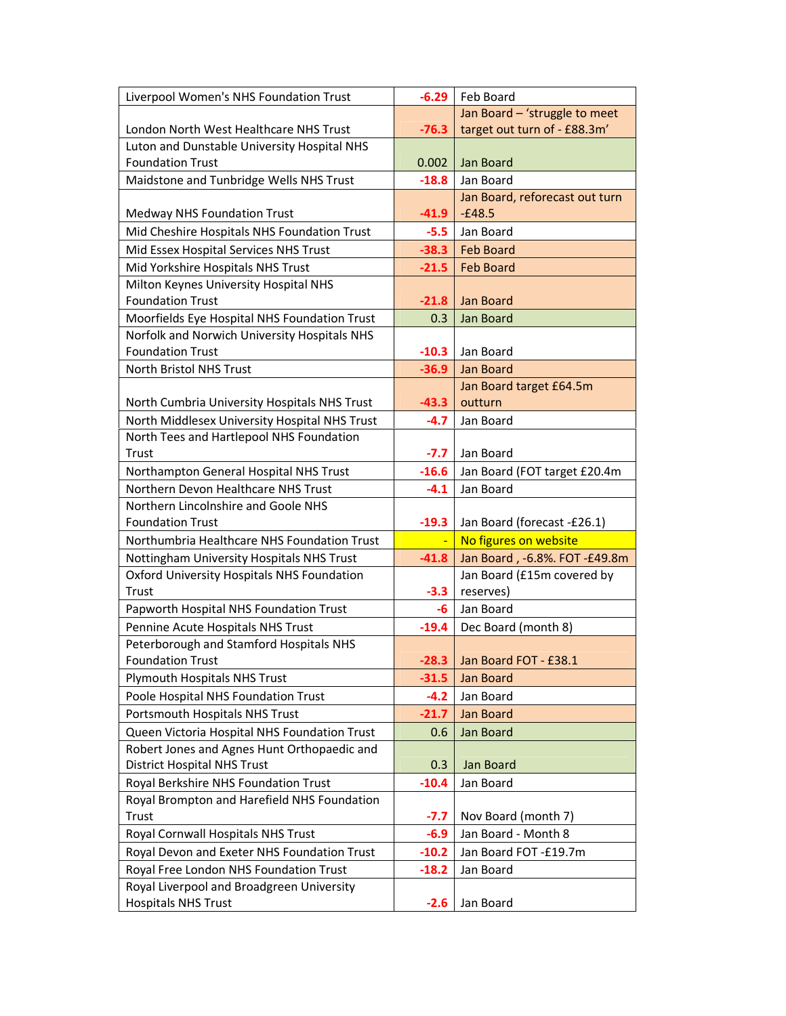| Liverpool Women's NHS Foundation Trust        | $-6.29$ | Feb Board                      |
|-----------------------------------------------|---------|--------------------------------|
|                                               |         | Jan Board - 'struggle to meet  |
| London North West Healthcare NHS Trust        | $-76.3$ | target out turn of - £88.3m'   |
| Luton and Dunstable University Hospital NHS   |         |                                |
| <b>Foundation Trust</b>                       | 0.002   | Jan Board                      |
| Maidstone and Tunbridge Wells NHS Trust       | $-18.8$ | Jan Board                      |
|                                               |         | Jan Board, reforecast out turn |
| <b>Medway NHS Foundation Trust</b>            | $-41.9$ | $-£48.5$                       |
| Mid Cheshire Hospitals NHS Foundation Trust   | $-5.5$  | Jan Board                      |
| Mid Essex Hospital Services NHS Trust         | $-38.3$ | <b>Feb Board</b>               |
| Mid Yorkshire Hospitals NHS Trust             | $-21.5$ | <b>Feb Board</b>               |
| Milton Keynes University Hospital NHS         |         |                                |
| <b>Foundation Trust</b>                       | $-21.8$ | Jan Board                      |
| Moorfields Eye Hospital NHS Foundation Trust  | 0.3     | Jan Board                      |
| Norfolk and Norwich University Hospitals NHS  |         |                                |
| <b>Foundation Trust</b>                       | $-10.3$ | Jan Board                      |
| <b>North Bristol NHS Trust</b>                | $-36.9$ | Jan Board                      |
|                                               |         | Jan Board target £64.5m        |
| North Cumbria University Hospitals NHS Trust  | $-43.3$ | outturn                        |
| North Middlesex University Hospital NHS Trust | $-4.7$  | Jan Board                      |
| North Tees and Hartlepool NHS Foundation      |         |                                |
| Trust                                         | $-7.7$  | Jan Board                      |
| Northampton General Hospital NHS Trust        | $-16.6$ | Jan Board (FOT target £20.4m   |
| Northern Devon Healthcare NHS Trust           | $-4.1$  | Jan Board                      |
| Northern Lincolnshire and Goole NHS           |         |                                |
| <b>Foundation Trust</b>                       | $-19.3$ | Jan Board (forecast -£26.1)    |
| Northumbria Healthcare NHS Foundation Trust   |         | No figures on website          |
| Nottingham University Hospitals NHS Trust     | $-41.8$ | Jan Board, -6.8%. FOT -£49.8m  |
|                                               |         |                                |
| Oxford University Hospitals NHS Foundation    |         | Jan Board (£15m covered by     |
| Trust                                         | $-3.3$  | reserves)                      |
| Papworth Hospital NHS Foundation Trust        | -6      | Jan Board                      |
| Pennine Acute Hospitals NHS Trust             | $-19.4$ | Dec Board (month 8)            |
| Peterborough and Stamford Hospitals NHS       |         |                                |
| Foundation Trust                              |         | -28.3 Jan Board FOT - £38.1    |
| Plymouth Hospitals NHS Trust                  | $-31.5$ | Jan Board                      |
| Poole Hospital NHS Foundation Trust           | $-4.2$  | Jan Board                      |
| Portsmouth Hospitals NHS Trust                | $-21.7$ | Jan Board                      |
| Queen Victoria Hospital NHS Foundation Trust  | 0.6     | Jan Board                      |
| Robert Jones and Agnes Hunt Orthopaedic and   |         |                                |
| <b>District Hospital NHS Trust</b>            | 0.3     | Jan Board                      |
| Royal Berkshire NHS Foundation Trust          | $-10.4$ | Jan Board                      |
| Royal Brompton and Harefield NHS Foundation   |         |                                |
| Trust                                         | $-7.7$  | Nov Board (month 7)            |
| Royal Cornwall Hospitals NHS Trust            | $-6.9$  | Jan Board - Month 8            |
| Royal Devon and Exeter NHS Foundation Trust   | $-10.2$ | Jan Board FOT-£19.7m           |
| Royal Free London NHS Foundation Trust        | $-18.2$ | Jan Board                      |
| Royal Liverpool and Broadgreen University     |         |                                |
| <b>Hospitals NHS Trust</b>                    | $-2.6$  | Jan Board                      |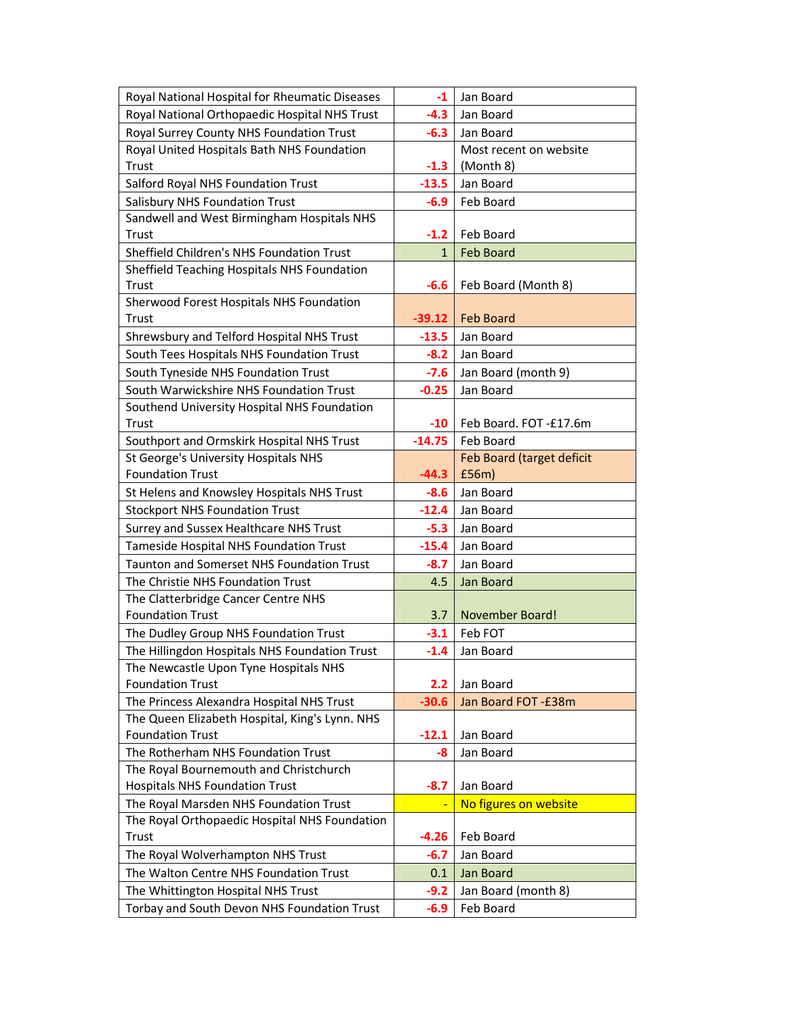| Royal National Hospital for Rheumatic Diseases                                  | $-1$         | Jan Board                 |
|---------------------------------------------------------------------------------|--------------|---------------------------|
| Royal National Orthopaedic Hospital NHS Trust                                   | $-4.3$       | Jan Board                 |
| Royal Surrey County NHS Foundation Trust                                        | $-6.3$       | Jan Board                 |
| Royal United Hospitals Bath NHS Foundation                                      |              | Most recent on website    |
| Trust                                                                           | $-1.3$       | (Month 8)                 |
| Salford Royal NHS Foundation Trust                                              | $-13.5$      | Jan Board                 |
| <b>Salisbury NHS Foundation Trust</b>                                           | $-6.9$       | Feb Board                 |
| Sandwell and West Birmingham Hospitals NHS                                      |              |                           |
| Trust                                                                           | $-1.2$       | Feb Board                 |
| Sheffield Children's NHS Foundation Trust                                       | $\mathbf{1}$ | <b>Feb Board</b>          |
| Sheffield Teaching Hospitals NHS Foundation                                     |              |                           |
| Trust                                                                           | $-6.6$       | Feb Board (Month 8)       |
| Sherwood Forest Hospitals NHS Foundation                                        |              |                           |
| <b>Trust</b>                                                                    | $-39.12$     | <b>Feb Board</b>          |
| Shrewsbury and Telford Hospital NHS Trust                                       | $-13.5$      | Jan Board                 |
| South Tees Hospitals NHS Foundation Trust                                       | $-8.2$       | Jan Board                 |
| South Tyneside NHS Foundation Trust                                             | $-7.6$       | Jan Board (month 9)       |
| South Warwickshire NHS Foundation Trust                                         | $-0.25$      | Jan Board                 |
| Southend University Hospital NHS Foundation                                     |              |                           |
| <b>Trust</b>                                                                    | $-10$        | Feb Board. FOT -£17.6m    |
| Southport and Ormskirk Hospital NHS Trust                                       | $-14.75$     | Feb Board                 |
| St George's University Hospitals NHS                                            |              | Feb Board (target deficit |
| <b>Foundation Trust</b>                                                         | $-44.3$      | £56m)                     |
| St Helens and Knowsley Hospitals NHS Trust                                      | $-8.6$       | Jan Board                 |
| <b>Stockport NHS Foundation Trust</b>                                           | $-12.4$      | Jan Board                 |
| Surrey and Sussex Healthcare NHS Trust                                          | $-5.3$       | Jan Board                 |
| Tameside Hospital NHS Foundation Trust                                          | $-15.4$      | Jan Board                 |
| <b>Taunton and Somerset NHS Foundation Trust</b>                                | $-8.7$       | Jan Board                 |
| The Christie NHS Foundation Trust                                               | 4.5          | Jan Board                 |
| The Clatterbridge Cancer Centre NHS                                             |              |                           |
| <b>Foundation Trust</b>                                                         | 3.7          | <b>November Board!</b>    |
| The Dudley Group NHS Foundation Trust                                           | $-3.1$       | Feb FOT                   |
| The Hillingdon Hospitals NHS Foundation Trust                                   | $-1.4$       | Jan Board                 |
| The Newcastle Upon Tyne Hospitals NHS                                           |              |                           |
| <b>Foundation Trust</b>                                                         | 2.2          | Jan Board                 |
| The Princess Alexandra Hospital NHS Trust                                       | $-30.6$      | Jan Board FOT - £38m      |
| The Queen Elizabeth Hospital, King's Lynn. NHS                                  |              |                           |
| <b>Foundation Trust</b>                                                         | $-12.1$      | Jan Board                 |
| The Rotherham NHS Foundation Trust                                              | -8           | Jan Board                 |
| The Royal Bournemouth and Christchurch<br><b>Hospitals NHS Foundation Trust</b> | $-8.7$       | Jan Board                 |
| The Royal Marsden NHS Foundation Trust                                          |              | No figures on website     |
| The Royal Orthopaedic Hospital NHS Foundation                                   |              |                           |
| Trust                                                                           | $-4.26$      | Feb Board                 |
| The Royal Wolverhampton NHS Trust                                               | $-6.7$       | Jan Board                 |
| The Walton Centre NHS Foundation Trust                                          | 0.1          | Jan Board                 |
| The Whittington Hospital NHS Trust                                              | $-9.2$       | Jan Board (month 8)       |
| Torbay and South Devon NHS Foundation Trust                                     | $-6.9$       | Feb Board                 |
|                                                                                 |              |                           |